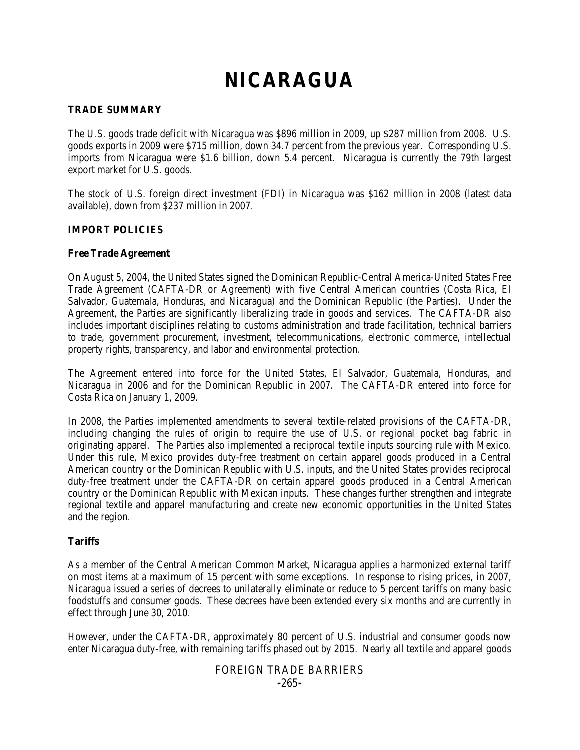# **NICARAGUA**

### **TRADE SUMMARY**

The U.S. goods trade deficit with Nicaragua was \$896 million in 2009, up \$287 million from 2008. U.S. goods exports in 2009 were \$715 million, down 34.7 percent from the previous year. Corresponding U.S. imports from Nicaragua were \$1.6 billion, down 5.4 percent. Nicaragua is currently the 79th largest export market for U.S. goods.

The stock of U.S. foreign direct investment (FDI) in Nicaragua was \$162 million in 2008 (latest data available), down from \$237 million in 2007.

#### **IMPORT POLICIES**

#### **Free Trade Agreement**

On August 5, 2004, the United States signed the Dominican Republic-Central America-United States Free Trade Agreement (CAFTA-DR or Agreement) with five Central American countries (Costa Rica, El Salvador, Guatemala, Honduras, and Nicaragua) and the Dominican Republic (the Parties). Under the Agreement, the Parties are significantly liberalizing trade in goods and services. The CAFTA-DR also includes important disciplines relating to customs administration and trade facilitation, technical barriers to trade, government procurement, investment, telecommunications, electronic commerce, intellectual property rights, transparency, and labor and environmental protection.

The Agreement entered into force for the United States, El Salvador, Guatemala, Honduras, and Nicaragua in 2006 and for the Dominican Republic in 2007. The CAFTA-DR entered into force for Costa Rica on January 1, 2009.

In 2008, the Parties implemented amendments to several textile-related provisions of the CAFTA-DR, including changing the rules of origin to require the use of U.S. or regional pocket bag fabric in originating apparel. The Parties also implemented a reciprocal textile inputs sourcing rule with Mexico. Under this rule, Mexico provides duty-free treatment on certain apparel goods produced in a Central American country or the Dominican Republic with U.S. inputs, and the United States provides reciprocal duty-free treatment under the CAFTA-DR on certain apparel goods produced in a Central American country or the Dominican Republic with Mexican inputs. These changes further strengthen and integrate regional textile and apparel manufacturing and create new economic opportunities in the United States and the region.

## **Tariffs**

As a member of the Central American Common Market, Nicaragua applies a harmonized external tariff on most items at a maximum of 15 percent with some exceptions. In response to rising prices, in 2007, Nicaragua issued a series of decrees to unilaterally eliminate or reduce to 5 percent tariffs on many basic foodstuffs and consumer goods. These decrees have been extended every six months and are currently in effect through June 30, 2010.

However, under the CAFTA-DR, approximately 80 percent of U.S. industrial and consumer goods now enter Nicaragua duty-free, with remaining tariffs phased out by 2015. Nearly all textile and apparel goods

## FOREIGN TRADE BARRIERS **-**265**-**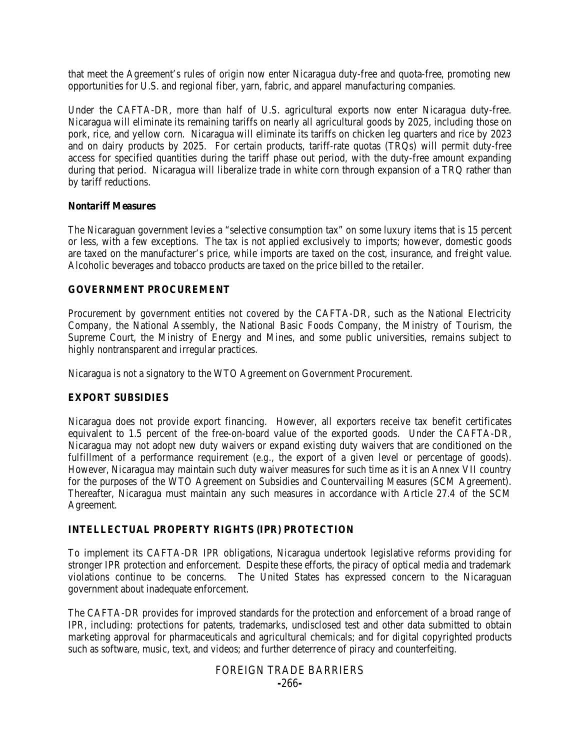that meet the Agreement's rules of origin now enter Nicaragua duty-free and quota-free, promoting new opportunities for U.S. and regional fiber, yarn, fabric, and apparel manufacturing companies.

Under the CAFTA-DR, more than half of U.S. agricultural exports now enter Nicaragua duty-free. Nicaragua will eliminate its remaining tariffs on nearly all agricultural goods by 2025, including those on pork, rice, and yellow corn. Nicaragua will eliminate its tariffs on chicken leg quarters and rice by 2023 and on dairy products by 2025. For certain products, tariff-rate quotas (TRQs) will permit duty-free access for specified quantities during the tariff phase out period, with the duty-free amount expanding during that period. Nicaragua will liberalize trade in white corn through expansion of a TRQ rather than by tariff reductions.

#### **Nontariff Measures**

The Nicaraguan government levies a "selective consumption tax" on some luxury items that is 15 percent or less, with a few exceptions. The tax is not applied exclusively to imports; however, domestic goods are taxed on the manufacturer's price, while imports are taxed on the cost, insurance, and freight value. Alcoholic beverages and tobacco products are taxed on the price billed to the retailer.

#### **GOVERNMENT PROCUREMENT**

Procurement by government entities not covered by the CAFTA-DR, such as the National Electricity Company, the National Assembly, the National Basic Foods Company, the Ministry of Tourism, the Supreme Court, the Ministry of Energy and Mines, and some public universities, remains subject to highly nontransparent and irregular practices.

Nicaragua is not a signatory to the WTO Agreement on Government Procurement.

#### **EXPORT SUBSIDIES**

Nicaragua does not provide export financing. However, all exporters receive tax benefit certificates equivalent to 1.5 percent of the free-on-board value of the exported goods. Under the CAFTA-DR, Nicaragua may not adopt new duty waivers or expand existing duty waivers that are conditioned on the fulfillment of a performance requirement (*e.g.*, the export of a given level or percentage of goods). However, Nicaragua may maintain such duty waiver measures for such time as it is an Annex VII country for the purposes of the WTO Agreement on Subsidies and Countervailing Measures (SCM Agreement). Thereafter, Nicaragua must maintain any such measures in accordance with Article 27.4 of the SCM Agreement.

#### **INTELLECTUAL PROPERTY RIGHTS (IPR) PROTECTION**

To implement its CAFTA-DR IPR obligations, Nicaragua undertook legislative reforms providing for stronger IPR protection and enforcement. Despite these efforts, the piracy of optical media and trademark violations continue to be concerns. The United States has expressed concern to the Nicaraguan government about inadequate enforcement.

The CAFTA-DR provides for improved standards for the protection and enforcement of a broad range of IPR, including: protections for patents, trademarks, undisclosed test and other data submitted to obtain marketing approval for pharmaceuticals and agricultural chemicals; and for digital copyrighted products such as software, music, text, and videos; and further deterrence of piracy and counterfeiting.

#### FOREIGN TRADE BARRIERS **-**266**-**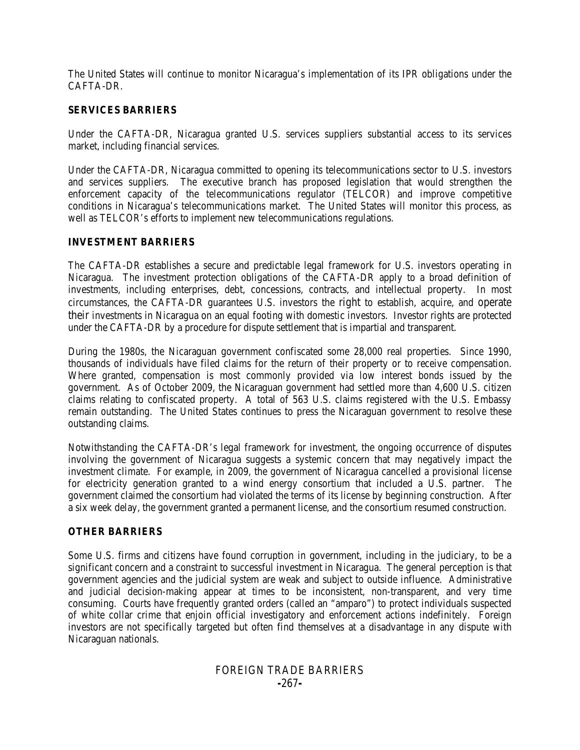The United States will continue to monitor Nicaragua's implementation of its IPR obligations under the CAFTA-DR.

#### **SERVICES BARRIERS**

Under the CAFTA-DR, Nicaragua granted U.S. services suppliers substantial access to its services market, including financial services.

Under the CAFTA-DR, Nicaragua committed to opening its telecommunications sector to U.S. investors and services suppliers. The executive branch has proposed legislation that would strengthen the enforcement capacity of the telecommunications regulator (TELCOR) and improve competitive conditions in Nicaragua's telecommunications market. The United States will monitor this process, as well as TELCOR's efforts to implement new telecommunications regulations.

#### **INVESTMENT BARRIERS**

The CAFTA-DR establishes a secure and predictable legal framework for U.S. investors operating in Nicaragua. The investment protection obligations of the CAFTA-DR apply to a broad definition of investments, including enterprises, debt, concessions, contracts, and intellectual property. In most circumstances, the CAFTA-DR guarantees U.S. investors the right to establish, acquire, and operate their investments in Nicaragua on an equal footing with domestic investors. Investor rights are protected under the CAFTA-DR by a procedure for dispute settlement that is impartial and transparent.

During the 1980s, the Nicaraguan government confiscated some 28,000 real properties. Since 1990, thousands of individuals have filed claims for the return of their property or to receive compensation. Where granted, compensation is most commonly provided via low interest bonds issued by the government. As of October 2009, the Nicaraguan government had settled more than 4,600 U.S. citizen claims relating to confiscated property. A total of 563 U.S. claims registered with the U.S. Embassy remain outstanding. The United States continues to press the Nicaraguan government to resolve these outstanding claims.

Notwithstanding the CAFTA-DR's legal framework for investment, the ongoing occurrence of disputes involving the government of Nicaragua suggests a systemic concern that may negatively impact the investment climate. For example, in 2009, the government of Nicaragua cancelled a provisional license for electricity generation granted to a wind energy consortium that included a U.S. partner. The government claimed the consortium had violated the terms of its license by beginning construction. After a six week delay, the government granted a permanent license, and the consortium resumed construction.

## **OTHER BARRIERS**

Some U.S. firms and citizens have found corruption in government, including in the judiciary, to be a significant concern and a constraint to successful investment in Nicaragua. The general perception is that government agencies and the judicial system are weak and subject to outside influence. Administrative and judicial decision-making appear at times to be inconsistent, non-transparent, and very time consuming. Courts have frequently granted orders (called an "amparo") to protect individuals suspected of white collar crime that enjoin official investigatory and enforcement actions indefinitely. Foreign investors are not specifically targeted but often find themselves at a disadvantage in any dispute with Nicaraguan nationals.

## FOREIGN TRADE BARRIERS **-**267**-**